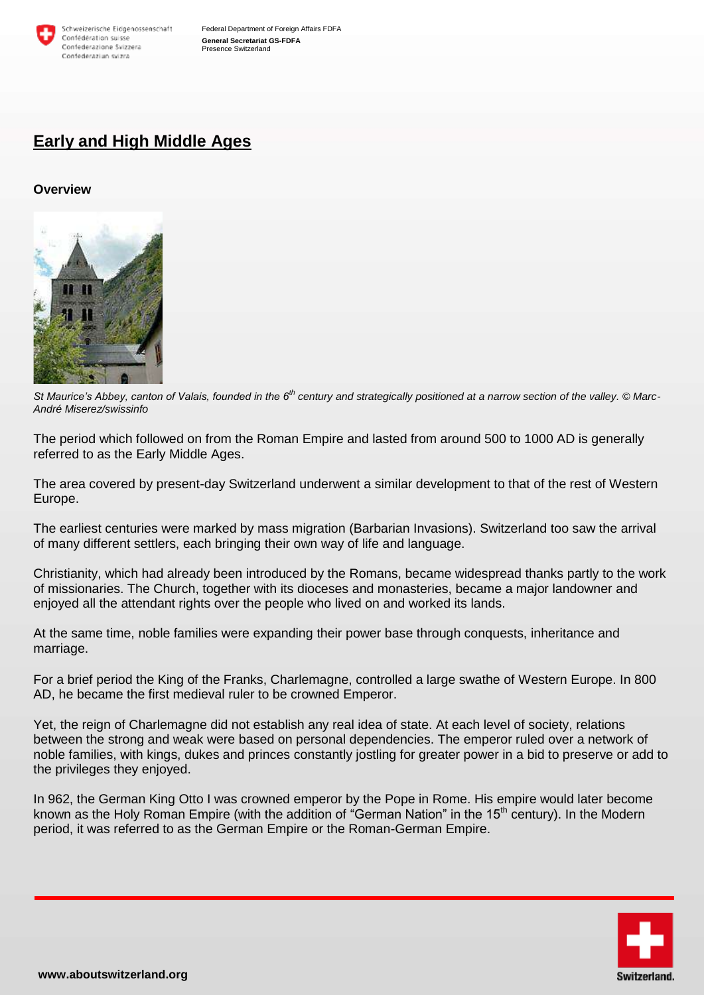

# **Early and High Middle Ages**

### **Overview**



*St Maurice's Abbey, canton of Valais, founded in the 6th century and strategically positioned at a narrow section of the valley. © Marc-André Miserez/swissinfo*

The period which followed on from the Roman Empire and lasted from around 500 to 1000 AD is generally referred to as the Early Middle Ages.

The area covered by present-day Switzerland underwent a similar development to that of the rest of Western Europe.

The earliest centuries were marked by mass migration (Barbarian Invasions). Switzerland too saw the arrival of many different settlers, each bringing their own way of life and language.

Christianity, which had already been introduced by the Romans, became widespread thanks partly to the work of missionaries. The Church, together with its dioceses and monasteries, became a major landowner and enjoyed all the attendant rights over the people who lived on and worked its lands.

At the same time, noble families were expanding their power base through conquests, inheritance and marriage.

For a brief period the King of the Franks, Charlemagne, controlled a large swathe of Western Europe. In 800 AD, he became the first medieval ruler to be crowned Emperor.

Yet, the reign of Charlemagne did not establish any real idea of state. At each level of society, relations between the strong and weak were based on personal dependencies. The emperor ruled over a network of noble families, with kings, dukes and princes constantly jostling for greater power in a bid to preserve or add to the privileges they enjoyed.

In 962, the German King Otto I was crowned emperor by the Pope in Rome. His empire would later become known as the Holy Roman Empire (with the addition of "German Nation" in the 15<sup>th</sup> century). In the Modern period, it was referred to as the German Empire or the Roman-German Empire.

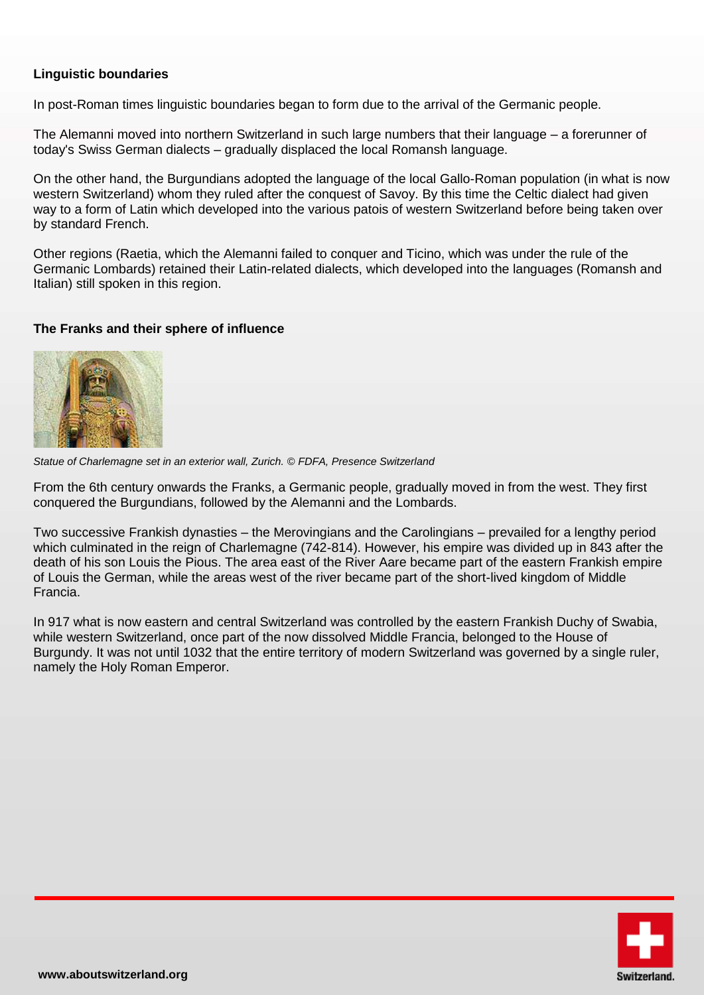# **Linguistic boundaries**

In post-Roman times linguistic boundaries began to form due to the arrival of the Germanic people.

The Alemanni moved into northern Switzerland in such large numbers that their language – a forerunner of today's Swiss German dialects – gradually displaced the local Romansh language.

On the other hand, the Burgundians adopted the language of the local Gallo-Roman population (in what is now western Switzerland) whom they ruled after the conquest of Savoy. By this time the Celtic dialect had given way to a form of Latin which developed into the various patois of western Switzerland before being taken over by standard French.

Other regions (Raetia, which the Alemanni failed to conquer and Ticino, which was under the rule of the Germanic Lombards) retained their Latin-related dialects, which developed into the languages (Romansh and Italian) still spoken in this region.

# **The Franks and their sphere of influence**



*Statue of Charlemagne set in an exterior wall, Zurich. © FDFA, Presence Switzerland*

From the 6th century onwards the Franks, a Germanic people, gradually moved in from the west. They first conquered the Burgundians, followed by the Alemanni and the Lombards.

Two successive Frankish dynasties – the Merovingians and the Carolingians – prevailed for a lengthy period which culminated in the reign of Charlemagne (742-814). However, his empire was divided up in 843 after the death of his son Louis the Pious. The area east of the River Aare became part of the eastern Frankish empire of Louis the German, while the areas west of the river became part of the short-lived kingdom of Middle Francia.

In 917 what is now eastern and central Switzerland was controlled by the eastern Frankish Duchy of Swabia, while western Switzerland, once part of the now dissolved Middle Francia, belonged to the House of Burgundy. It was not until 1032 that the entire territory of modern Switzerland was governed by a single ruler, namely the Holy Roman Emperor.

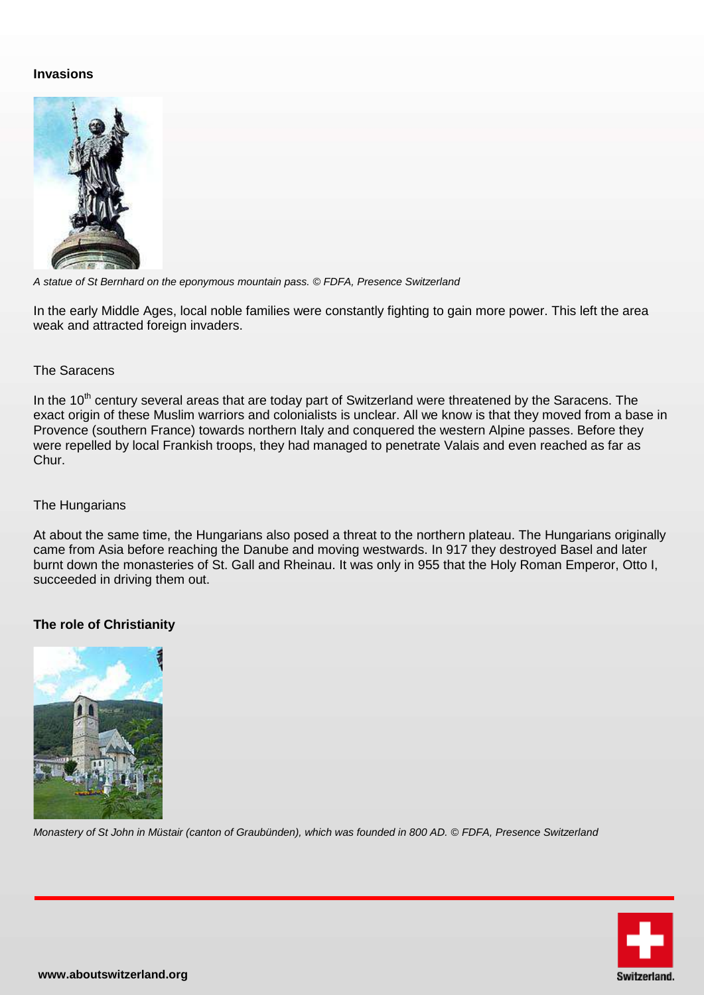# **Invasions**



*A statue of St Bernhard on the eponymous mountain pass. © FDFA, Presence Switzerland*

In the early Middle Ages, local noble families were constantly fighting to gain more power. This left the area weak and attracted foreign invaders.

## The Saracens

In the 10<sup>th</sup> century several areas that are today part of Switzerland were threatened by the Saracens. The exact origin of these Muslim warriors and colonialists is unclear. All we know is that they moved from a base in Provence (southern France) towards northern Italy and conquered the western Alpine passes. Before they were repelled by local Frankish troops, they had managed to penetrate Valais and even reached as far as Chur.

### The Hungarians

At about the same time, the Hungarians also posed a threat to the northern plateau. The Hungarians originally came from Asia before reaching the Danube and moving westwards. In 917 they destroyed Basel and later burnt down the monasteries of St. Gall and Rheinau. It was only in 955 that the Holy Roman Emperor, Otto I, succeeded in driving them out.

# **The role of Christianity**



*Monastery of St John in Müstair (canton of Graubünden), which was founded in 800 AD. © FDFA, Presence Switzerland*

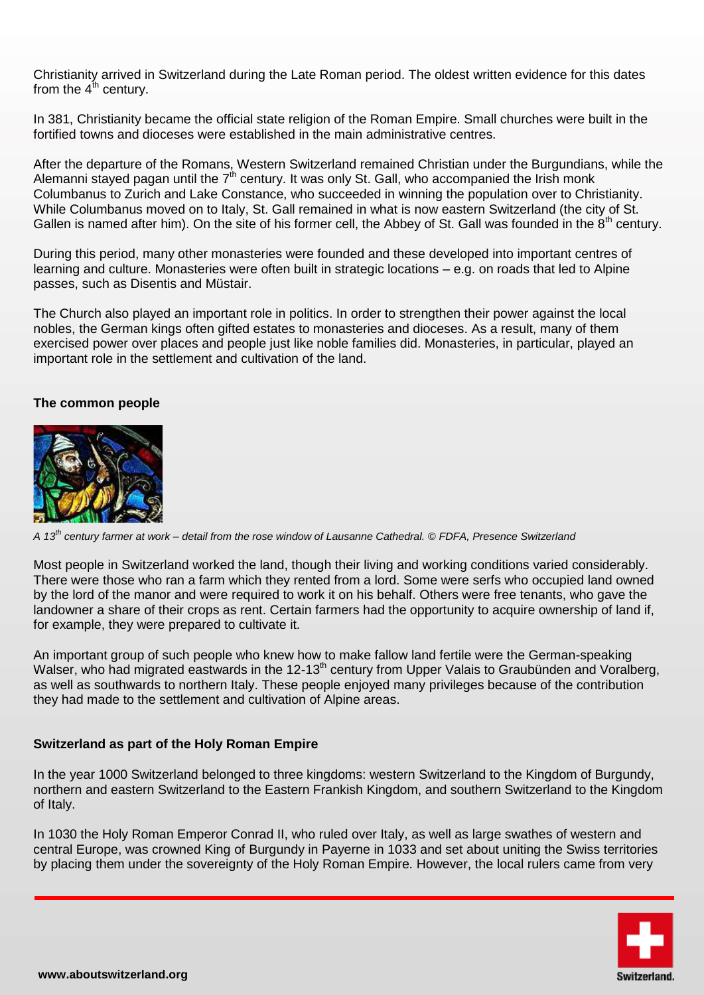Christianity arrived in Switzerland during the Late Roman period. The oldest written evidence for this dates from the  $4<sup>th</sup>$  century.

In 381, Christianity became the official state religion of the Roman Empire. Small churches were built in the fortified towns and dioceses were established in the main administrative centres.

After the departure of the Romans, Western Switzerland remained Christian under the Burgundians, while the Alemanni stayed pagan until the 7<sup>th</sup> century. It was only St. Gall, who accompanied the Irish monk Columbanus to Zurich and Lake Constance, who succeeded in winning the population over to Christianity. While Columbanus moved on to Italy, St. Gall remained in what is now eastern Switzerland (the city of St. Gallen is named after him). On the site of his former cell, the Abbey of St. Gall was founded in the  $8<sup>th</sup>$  century.

During this period, many other monasteries were founded and these developed into important centres of learning and culture. Monasteries were often built in strategic locations – e.g. on roads that led to Alpine passes, such as Disentis and Müstair.

The Church also played an important role in politics. In order to strengthen their power against the local nobles, the German kings often gifted estates to monasteries and dioceses. As a result, many of them exercised power over places and people just like noble families did. Monasteries, in particular, played an important role in the settlement and cultivation of the land.

## **The common people**



*A 13th century farmer at work – detail from the rose window of Lausanne Cathedral. © FDFA, Presence Switzerland*

Most people in Switzerland worked the land, though their living and working conditions varied considerably. There were those who ran a farm which they rented from a lord. Some were serfs who occupied land owned by the lord of the manor and were required to work it on his behalf. Others were free tenants, who gave the landowner a share of their crops as rent. Certain farmers had the opportunity to acquire ownership of land if, for example, they were prepared to cultivate it.

An important group of such people who knew how to make fallow land fertile were the German-speaking Walser, who had migrated eastwards in the 12-13<sup>th</sup> century from Upper Valais to Graubünden and Voralberg, as well as southwards to northern Italy. These people enjoyed many privileges because of the contribution they had made to the settlement and cultivation of Alpine areas.

#### **Switzerland as part of the Holy Roman Empire**

In the year 1000 Switzerland belonged to three kingdoms: western Switzerland to the Kingdom of Burgundy, northern and eastern Switzerland to the Eastern Frankish Kingdom, and southern Switzerland to the Kingdom of Italy.

In 1030 the Holy Roman Emperor Conrad II, who ruled over Italy, as well as large swathes of western and central Europe, was crowned King of Burgundy in Payerne in 1033 and set about uniting the Swiss territories by placing them under the sovereignty of the Holy Roman Empire. However, the local rulers came from very

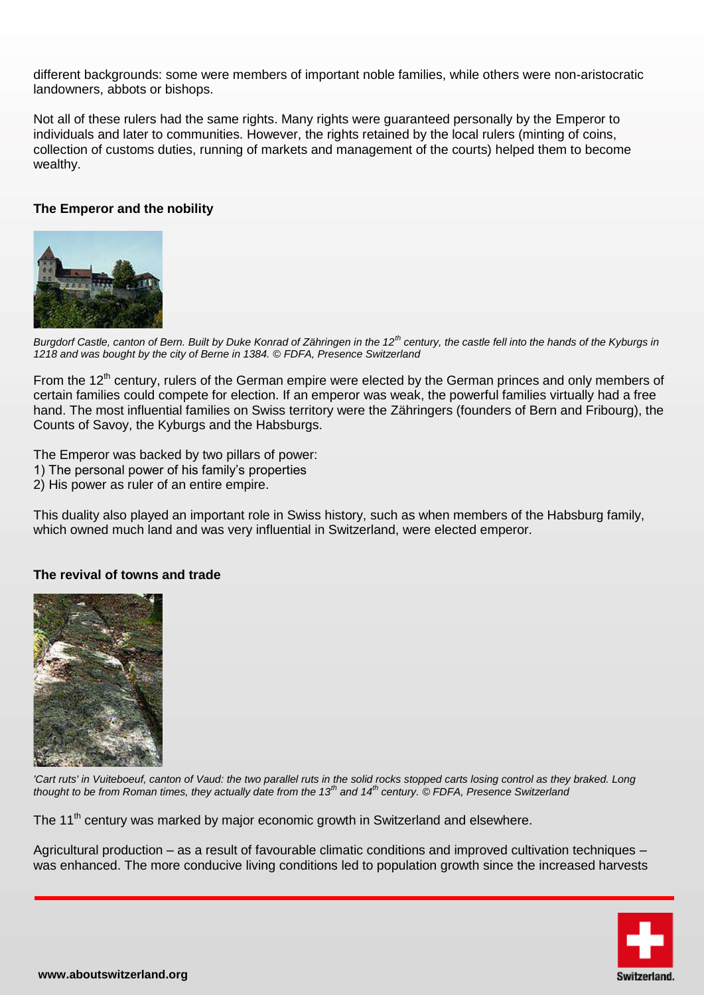different backgrounds: some were members of important noble families, while others were non-aristocratic landowners, abbots or bishops.

Not all of these rulers had the same rights. Many rights were guaranteed personally by the Emperor to individuals and later to communities. However, the rights retained by the local rulers (minting of coins, collection of customs duties, running of markets and management of the courts) helped them to become wealthy.

## **The Emperor and the nobility**



*Burgdorf Castle, canton of Bern. Built by Duke Konrad of Zähringen in the 12th century, the castle fell into the hands of the Kyburgs in 1218 and was bought by the city of Berne in 1384. © FDFA, Presence Switzerland*

From the 12<sup>th</sup> century, rulers of the German empire were elected by the German princes and only members of certain families could compete for election. If an emperor was weak, the powerful families virtually had a free hand. The most influential families on Swiss territory were the Zähringers (founders of Bern and Fribourg), the Counts of Savoy, the Kyburgs and the Habsburgs.

The Emperor was backed by two pillars of power:

- 1) The personal power of his family's properties
- 2) His power as ruler of an entire empire.

This duality also played an important role in Swiss history, such as when members of the Habsburg family, which owned much land and was very influential in Switzerland, were elected emperor.

#### **The revival of towns and trade**



*'Cart ruts' in Vuiteboeuf, canton of Vaud: the two parallel ruts in the solid rocks stopped carts losing control as they braked. Long thought to be from Roman times, they actually date from the 13th and 14th century. © FDFA, Presence Switzerland*

The 11<sup>th</sup> century was marked by major economic growth in Switzerland and elsewhere.

Agricultural production – as a result of favourable climatic conditions and improved cultivation techniques – was enhanced. The more conducive living conditions led to population growth since the increased harvests